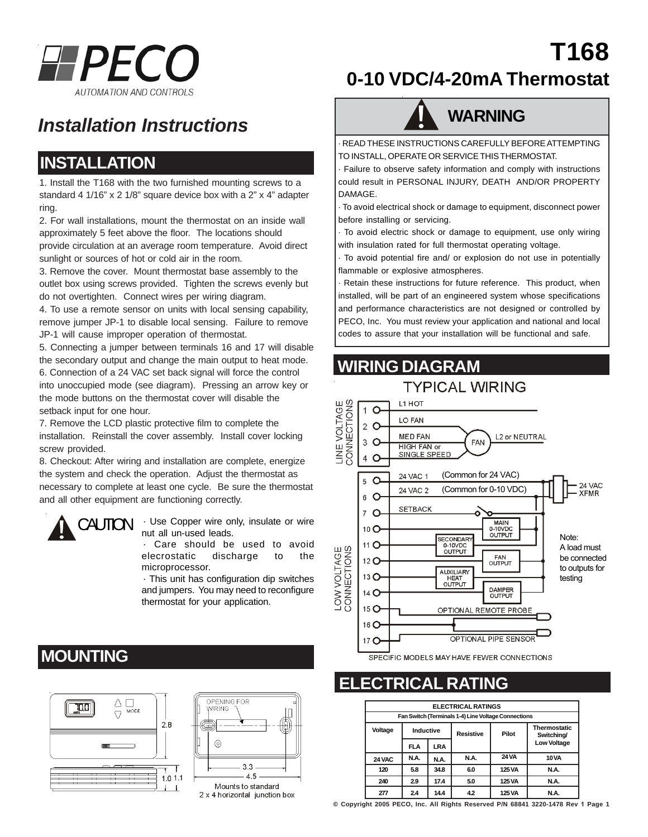

## *Installation Instructions*

### **INSTALLATION**

1. Install the T168 with the two furnished mounting screws to a standard 4 1/16" x 2 1/8" square device box with a 2" x 4" adapter ring.

2. For wall installations, mount the thermostat on an inside wall approximately 5 feet above the floor. The locations should provide circulation at an average room temperature. Avoid direct sunlight or sources of hot or cold air in the room.

3. Remove the cover. Mount thermostat base assembly to the outlet box using screws provided. Tighten the screws evenly but do not overtighten. Connect wires per wiring diagram.

4. To use a remote sensor on units with local sensing capability, remove jumper JP-1 to disable local sensing. Failure to remove JP-1 will cause improper operation of thermostat.

5. Connecting a jumper between terminals 16 and 17 will disable the secondary output and change the main output to heat mode. 6. Connection of a 24 VAC set back signal will force the control into unoccupied mode (see diagram). Pressing an arrow key or the mode buttons on the thermostat cover will disable the setback input for one hour.

7. Remove the LCD plastic protective film to complete the installation. Reinstall the cover assembly. Install cover locking screw provided.

8. Checkout: After wiring and installation are complete, energize the system and check the operation. Adjust the thermostat as necessary to complete at least one cycle. Be sure the thermostat and all other equipment are functioning correctly.



CAUTION · Use Copper wire only, insulate or wire nut all un-used leads.

> · Care should be used to avoid elecrostatic discharge to the microprocessor.

> · This unit has configuration dip switches and jumpers. You may need to reconfigure thermostat for your application.

### **MOUNTING**





# **0-10 VDC/4-20mA Thermostat**

**T168**



· READ THESE INSTRUCTIONS CAREFULLY BEFORE ATTEMPTING TO INSTALL, OPERATE OR SERVICE THIS THERMOSTAT.

· Failure to observe safety information and comply with instructions could result in PERSONAL INJURY, DEATH AND/OR PROPERTY DAMAGE.

· To avoid electrical shock or damage to equipment, disconnect power before installing or servicing.

· To avoid electric shock or damage to equipment, use only wiring with insulation rated for full thermostat operating voltage.

· To avoid potential fire and/ or explosion do not use in potentially flammable or explosive atmospheres.

· Retain these instructions for future reference. This product, when installed, will be part of an engineered system whose specifications and performance characteristics are not designed or controlled by PECO, Inc. You must review your application and national and local codes to assure that your installation will be functional and safe.

### **WIRING DIAGRAM**



### **ELECTRICAL RATING**

| <b>ELECTRICAL RATINGS</b>                           |            |      |                  |              |                                   |  |  |  |
|-----------------------------------------------------|------------|------|------------------|--------------|-----------------------------------|--|--|--|
| Fan Switch (Terminals 1-4) Line Voltage Connections |            |      |                  |              |                                   |  |  |  |
| Voltage                                             | Inductive  |      | <b>Resistive</b> | Pilot        | <b>Thermostatic</b><br>Switching/ |  |  |  |
|                                                     | <b>FLA</b> | LRA  |                  |              | <b>Low Voltage</b>                |  |  |  |
| 24 VAC                                              | N.A.       | N.A. | N.A.             | <b>24 VA</b> | <b>10 VA</b>                      |  |  |  |
| 120                                                 | 5.8        | 34.8 | 6.0              | 125 VA       | N.A.                              |  |  |  |
| 240                                                 | 2.9        | 17.4 | 5.0              | 125 VA       | N.A.                              |  |  |  |
| 277                                                 | 24         | 14.4 | 4.2              | 125 VA       | N.A.                              |  |  |  |

**© Copyright 2005 PECO, Inc. All Rights Reserved P/N 68841 3220-1478 Rev 1 Page 1**